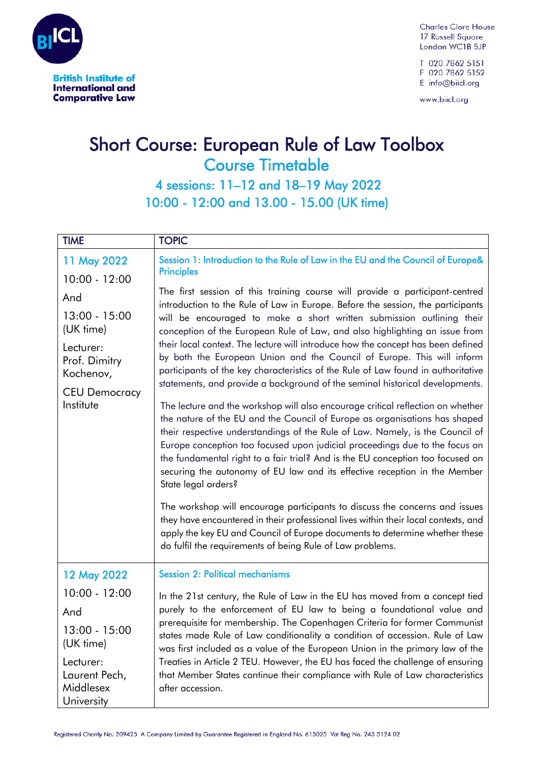

i

Į

**Charles Clore House** 17 Russell Square London WC1B 5JP

T 020 7862 5151 F 020 7862 5152 E info@biicl.org

www.biicl.org

## Short Course: European Rule of Law Toolbox Course Timetable

 4 sessions: 11–12 and 18–19 May 2022 10:00 - 12:00 and 13.00 - 15.00 (UK time)

| <b>TIME</b>                                           | <b>TOPIC</b>                                                                                                                                                                                                                                                                                                                                                                                                                                                                                                                                                                                                                                                                                                                                                                                                                         |
|-------------------------------------------------------|--------------------------------------------------------------------------------------------------------------------------------------------------------------------------------------------------------------------------------------------------------------------------------------------------------------------------------------------------------------------------------------------------------------------------------------------------------------------------------------------------------------------------------------------------------------------------------------------------------------------------------------------------------------------------------------------------------------------------------------------------------------------------------------------------------------------------------------|
| 11 May 2022                                           | Session 1: Introduction to the Rule of Law in the EU and the Council of Europe&<br><b>Principles</b>                                                                                                                                                                                                                                                                                                                                                                                                                                                                                                                                                                                                                                                                                                                                 |
| $10:00 - 12:00$                                       |                                                                                                                                                                                                                                                                                                                                                                                                                                                                                                                                                                                                                                                                                                                                                                                                                                      |
| And                                                   | The first session of this training course will provide a participant-centred<br>introduction to the Rule of Law in Europe. Before the session, the participants                                                                                                                                                                                                                                                                                                                                                                                                                                                                                                                                                                                                                                                                      |
| $13:00 - 15:00$<br>(UK time)                          | will be encouraged to make a short written submission outlining their<br>conception of the European Rule of Law, and also highlighting an issue from<br>their local context. The lecture will introduce how the concept has been defined<br>by both the European Union and the Council of Europe. This will inform<br>participants of the key characteristics of the Rule of Law found in authoritative<br>statements, and provide a background of the seminal historical developments.                                                                                                                                                                                                                                                                                                                                              |
| Lecturer:<br>Prof. Dimitry                            |                                                                                                                                                                                                                                                                                                                                                                                                                                                                                                                                                                                                                                                                                                                                                                                                                                      |
| Kochenov,                                             |                                                                                                                                                                                                                                                                                                                                                                                                                                                                                                                                                                                                                                                                                                                                                                                                                                      |
| <b>CEU Democracy</b><br>Institute                     | The lecture and the workshop will also encourage critical reflection on whether<br>the nature of the EU and the Council of Europe as organisations has shaped<br>their respective understandings of the Rule of Law. Namely, is the Council of<br>Europe conception too focused upon judicial proceedings due to the focus on<br>the fundamental right to a fair trial? And is the EU conception too focused on<br>securing the autonomy of EU law and its effective reception in the Member<br>State legal orders?<br>The workshop will encourage participants to discuss the concerns and issues<br>they have encountered in their professional lives within their local contexts, and<br>apply the key EU and Council of Europe documents to determine whether these<br>do fulfil the requirements of being Rule of Law problems. |
| 12 May 2022                                           | <b>Session 2: Political mechanisms</b>                                                                                                                                                                                                                                                                                                                                                                                                                                                                                                                                                                                                                                                                                                                                                                                               |
| $10:00 - 12:00$                                       | In the 21st century, the Rule of Law in the EU has moved from a concept tied                                                                                                                                                                                                                                                                                                                                                                                                                                                                                                                                                                                                                                                                                                                                                         |
| And                                                   | purely to the enforcement of EU law to being a foundational value and                                                                                                                                                                                                                                                                                                                                                                                                                                                                                                                                                                                                                                                                                                                                                                |
| 13:00 - 15:00<br>(UK time)                            | prerequisite for membership. The Copenhagen Criteria for former Communist<br>states made Rule of Law conditionality a condition of accession. Rule of Law<br>was first included as a value of the European Union in the primary law of the                                                                                                                                                                                                                                                                                                                                                                                                                                                                                                                                                                                           |
| Lecturer:<br>Laurent Pech,<br>Middlesex<br>University | Treaties in Article 2 TEU. However, the EU has faced the challenge of ensuring<br>that Member States continue their compliance with Rule of Law characteristics<br>after accession.                                                                                                                                                                                                                                                                                                                                                                                                                                                                                                                                                                                                                                                  |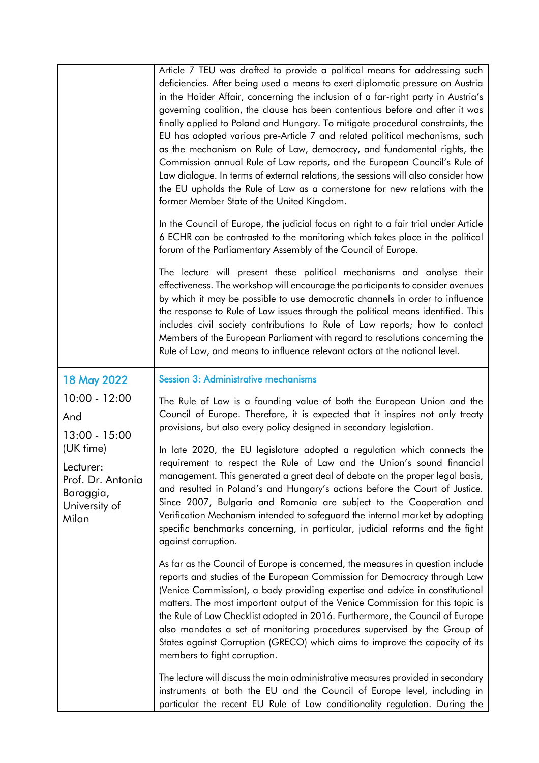| 18 May 2022<br>$10:00 - 12:00$<br>And<br>$13:00 - 15:00$<br>(UK time)<br>Lecturer:<br>Prof. Dr. Antonia<br>Baraggia,<br>University of<br>Milan | Article 7 TEU was drafted to provide a political means for addressing such<br>deficiencies. After being used a means to exert diplomatic pressure on Austria<br>in the Haider Affair, concerning the inclusion of a far-right party in Austria's<br>governing coalition, the clause has been contentious before and after it was<br>finally applied to Poland and Hungary. To mitigate procedural constraints, the<br>EU has adopted various pre-Article 7 and related political mechanisms, such<br>as the mechanism on Rule of Law, democracy, and fundamental rights, the<br>Commission annual Rule of Law reports, and the European Council's Rule of<br>Law dialogue. In terms of external relations, the sessions will also consider how<br>the EU upholds the Rule of Law as a cornerstone for new relations with the<br>former Member State of the United Kingdom.<br>In the Council of Europe, the judicial focus on right to a fair trial under Article |
|------------------------------------------------------------------------------------------------------------------------------------------------|-------------------------------------------------------------------------------------------------------------------------------------------------------------------------------------------------------------------------------------------------------------------------------------------------------------------------------------------------------------------------------------------------------------------------------------------------------------------------------------------------------------------------------------------------------------------------------------------------------------------------------------------------------------------------------------------------------------------------------------------------------------------------------------------------------------------------------------------------------------------------------------------------------------------------------------------------------------------|
|                                                                                                                                                | 6 ECHR can be contrasted to the monitoring which takes place in the political<br>forum of the Parliamentary Assembly of the Council of Europe.<br>The lecture will present these political mechanisms and analyse their<br>effectiveness. The workshop will encourage the participants to consider avenues<br>by which it may be possible to use democratic channels in order to influence<br>the response to Rule of Law issues through the political means identified. This<br>includes civil society contributions to Rule of Law reports; how to contact<br>Members of the European Parliament with regard to resolutions concerning the<br>Rule of Law, and means to influence relevant actors at the national level.                                                                                                                                                                                                                                        |
|                                                                                                                                                | <b>Session 3: Administrative mechanisms</b><br>The Rule of Law is a founding value of both the European Union and the<br>Council of Europe. Therefore, it is expected that it inspires not only treaty<br>provisions, but also every policy designed in secondary legislation.<br>In late 2020, the EU legislature adopted a regulation which connects the<br>requirement to respect the Rule of Law and the Union's sound financial<br>management. This generated a great deal of debate on the proper legal basis,<br>and resulted in Poland's and Hungary's actions before the Court of Justice.<br>Since 2007, Bulgaria and Romania are subject to the Cooperation and<br>Verification Mechanism intended to safeguard the internal market by adopting<br>specific benchmarks concerning, in particular, judicial reforms and the fight                                                                                                                       |
|                                                                                                                                                | against corruption.<br>As far as the Council of Europe is concerned, the measures in question include<br>reports and studies of the European Commission for Democracy through Law<br>(Venice Commission), a body providing expertise and advice in constitutional<br>matters. The most important output of the Venice Commission for this topic is<br>the Rule of Law Checklist adopted in 2016. Furthermore, the Council of Europe<br>also mandates a set of monitoring procedures supervised by the Group of<br>States against Corruption (GRECO) which aims to improve the capacity of its<br>members to fight corruption.<br>The lecture will discuss the main administrative measures provided in secondary                                                                                                                                                                                                                                                  |
|                                                                                                                                                | instruments at both the EU and the Council of Europe level, including in<br>particular the recent EU Rule of Law conditionality regulation. During the                                                                                                                                                                                                                                                                                                                                                                                                                                                                                                                                                                                                                                                                                                                                                                                                            |